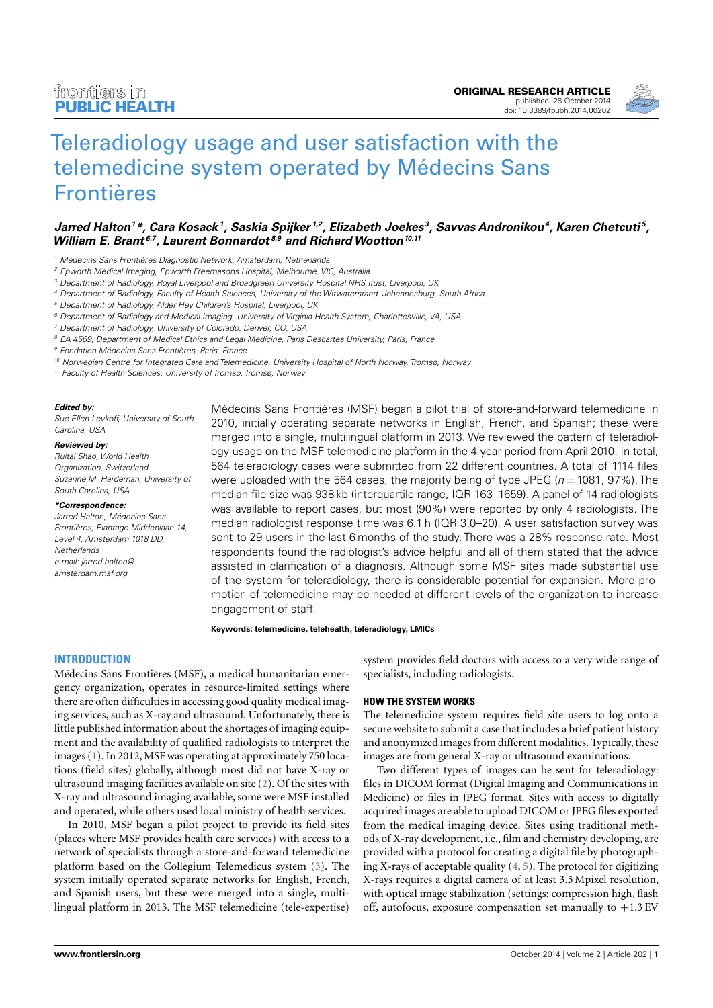

# [Teleradiology usage and user satisfaction with the](http://www.frontiersin.org/Journal/10.3389/fpubh.2014.00202/abstract) [telemedicine system operated by Médecins Sans](http://www.frontiersin.org/Journal/10.3389/fpubh.2014.00202/abstract) [Frontières](http://www.frontiersin.org/Journal/10.3389/fpubh.2014.00202/abstract)

# $J$ arred Halton $^1$ \*, Cara Kosack $^1$ , [Saskia Spijker](http://www.frontiersin.org/people/u/161918) $^{1,2}$ , Elizabeth Joekes $^3$ , [Savvas Andronikou](http://www.frontiersin.org/people/u/159172) $^4$ , Karen Chetcuti $^5$ , **William E. Brant 6,7, [Laurent Bonnardot](http://www.frontiersin.org/people/u/128796) 8,9 and [RichardWootton](http://www.frontiersin.org/people/u/124834)10,11**

<sup>1</sup> Médecins Sans Frontières Diagnostic Network, Amsterdam, Netherlands

- <sup>2</sup> Epworth Medical Imaging, Epworth Freemasons Hospital, Melbourne, VIC, Australia
- <sup>3</sup> Department of Radiology, Royal Liverpool and Broadgreen University Hospital NHS Trust, Liverpool, UK
- <sup>4</sup> Department of Radiology, Faculty of Health Sciences, University of the Witwatersrand, Johannesburg, South Africa
- <sup>5</sup> Department of Radiology, Alder Hey Children's Hospital, Liverpool, UK
- <sup>6</sup> Department of Radiology and Medical Imaging, University of Virginia Health System, Charlottesville, VA, USA
- Department of Radiology, University of Colorado, Denver, CO, USA
- <sup>8</sup> EA 4569, Department of Medical Ethics and Legal Medicine, Paris Descartes University, Paris, France

<sup>9</sup> Fondation Médecins Sans Frontières, Paris, France

<sup>10</sup> Norwegian Centre for Integrated Care and Telemedicine, University Hospital of North Norway, Tromsø, Norway

<sup>11</sup> Faculty of Health Sciences, University of Tromsø, Tromsø, Norway

#### **Edited by:**

Sue Ellen Levkoff, University of South Carolina, USA

#### **Reviewed by:**

Ruitai Shao, World Health Organization, Switzerland Suzanne M. Hardeman, University of South Carolina, USA

#### **\*Correspondence:**

Jarred Halton, Médecins Sans Frontières, Plantage Middenlaan 14, Level 4, Amsterdam 1018 DD, **Netherlands** [e-mail: jarred.halton@](mailto: jarred.halton@amsterdam.msf.org) [amsterdam.msf.org](mailto: jarred.halton@amsterdam.msf.org)

Médecins Sans Frontières (MSF) began a pilot trial of store-and-forward telemedicine in 2010, initially operating separate networks in English, French, and Spanish; these were merged into a single, multilingual platform in 2013. We reviewed the pattern of teleradiology usage on the MSF telemedicine platform in the 4-year period from April 2010. In total, 564 teleradiology cases were submitted from 22 different countries. A total of 1114 files were uploaded with the 564 cases, the majority being of type JPEG ( $n = 1081$ , 97%). The median file size was 938 kb (interquartile range, IQR 163–1659). A panel of 14 radiologists was available to report cases, but most (90%) were reported by only 4 radiologists. The median radiologist response time was 6.1 h (IQR 3.0–20). A user satisfaction survey was sent to 29 users in the last 6 months of the study. There was a 28% response rate. Most respondents found the radiologist's advice helpful and all of them stated that the advice assisted in clarification of a diagnosis. Although some MSF sites made substantial use of the system for teleradiology, there is considerable potential for expansion. More promotion of telemedicine may be needed at different levels of the organization to increase engagement of staff.

**Keywords: telemedicine, telehealth, teleradiology, LMICs**

#### **INTRODUCTION**

Médecins Sans Frontières (MSF), a medical humanitarian emergency organization, operates in resource-limited settings where there are often difficulties in accessing good quality medical imaging services, such as X-ray and ultrasound. Unfortunately, there is little published information about the shortages of imaging equipment and the availability of qualified radiologists to interpret the images [\(1\)](#page--1-0). In 2012, MSF was operating at approximately 750 locations (field sites) globally, although most did not have X-ray or ultrasound imaging facilities available on site [\(2\)](#page--1-1). Of the sites with X-ray and ultrasound imaging available, some were MSF installed and operated, while others used local ministry of health services.

In 2010, MSF began a pilot project to provide its field sites (places where MSF provides health care services) with access to a network of specialists through a store-and-forward telemedicine platform based on the Collegium Telemedicus system [\(3\)](#page--1-2). The system initially operated separate networks for English, French, and Spanish users, but these were merged into a single, multilingual platform in 2013. The MSF telemedicine (tele-expertise)

system provides field doctors with access to a very wide range of specialists, including radiologists.

#### **HOW THE SYSTEM WORKS**

The telemedicine system requires field site users to log onto a secure website to submit a case that includes a brief patient history and anonymized images from different modalities. Typically, these images are from general X-ray or ultrasound examinations.

Two different types of images can be sent for teleradiology: files in DICOM format (Digital Imaging and Communications in Medicine) or files in JPEG format. Sites with access to digitally acquired images are able to upload DICOM or JPEG files exported from the medical imaging device. Sites using traditional methods of X-ray development, i.e., film and chemistry developing, are provided with a protocol for creating a digital file by photographing X-rays of acceptable quality [\(4,](#page--1-3) [5\)](#page--1-4). The protocol for digitizing X-rays requires a digital camera of at least 3.5 Mpixel resolution, with optical image stabilization (settings: compression high, flash off, autofocus, exposure compensation set manually to  $+1.3$  EV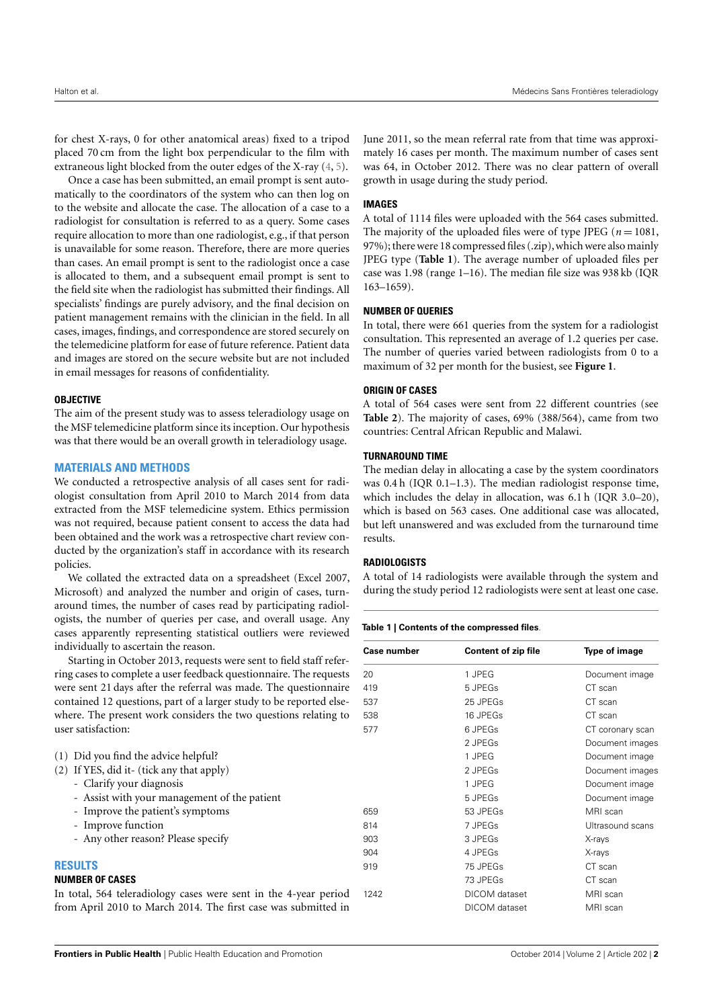for chest X-rays, 0 for other anatomical areas) fixed to a tripod placed 70 cm from the light box perpendicular to the film with extraneous light blocked from the outer edges of the X-ray [\(4,](#page--1-3) [5\)](#page--1-4).

Once a case has been submitted, an email prompt is sent automatically to the coordinators of the system who can then log on to the website and allocate the case. The allocation of a case to a radiologist for consultation is referred to as a query. Some cases require allocation to more than one radiologist, e.g., if that person is unavailable for some reason. Therefore, there are more queries than cases. An email prompt is sent to the radiologist once a case is allocated to them, and a subsequent email prompt is sent to the field site when the radiologist has submitted their findings. All specialists' findings are purely advisory, and the final decision on patient management remains with the clinician in the field. In all cases, images, findings, and correspondence are stored securely on the telemedicine platform for ease of future reference. Patient data and images are stored on the secure website but are not included in email messages for reasons of confidentiality.

## **OBJECTIVE**

The aim of the present study was to assess teleradiology usage on the MSF telemedicine platform since its inception. Our hypothesis was that there would be an overall growth in teleradiology usage.

## **MATERIALS AND METHODS**

We conducted a retrospective analysis of all cases sent for radiologist consultation from April 2010 to March 2014 from data extracted from the MSF telemedicine system. Ethics permission was not required, because patient consent to access the data had been obtained and the work was a retrospective chart review conducted by the organization's staff in accordance with its research policies.

We collated the extracted data on a spreadsheet (Excel 2007, Microsoft) and analyzed the number and origin of cases, turnaround times, the number of cases read by participating radiologists, the number of queries per case, and overall usage. Any cases apparently representing statistical outliers were reviewed individually to ascertain the reason.

Starting in October 2013, requests were sent to field staff referring cases to complete a user feedback questionnaire. The requests were sent 21 days after the referral was made. The questionnaire contained 12 questions, part of a larger study to be reported elsewhere. The present work considers the two questions relating to user satisfaction:

| (1) Did you find the advice helpful?                            |     |
|-----------------------------------------------------------------|-----|
| (2) If YES, did it- (tick any that apply)                       |     |
| - Clarify your diagnosis                                        |     |
| - Assist with your management of the patient                    |     |
| - Improve the patient's symptoms                                | 659 |
| - Improve function                                              | 814 |
| - Any other reason? Please specify                              | 903 |
|                                                                 | 904 |
| <b>RESULTS</b>                                                  | 919 |
| <b>NUMBER OF CASES</b>                                          |     |
| In total 564 toleradiology cases were sent in the 4 year period | 101 |

In total, 564 teleradiology cases were sent in the 4-year period from April 2010 to March 2014. The first case was submitted in

June 2011, so the mean referral rate from that time was approximately 16 cases per month. The maximum number of cases sent was 64, in October 2012. There was no clear pattern of overall growth in usage during the study period.

## **IMAGES**

A total of 1114 files were uploaded with the 564 cases submitted. The majority of the uploaded files were of type JPEG ( $n = 1081$ , 97%); there were 18 compressed files (.zip), which were also mainly JPEG type (**[Table 1](#page-1-0)**). The average number of uploaded files per case was 1.98 (range 1–16). The median file size was 938 kb (IQR 163–1659).

## **NUMBER OF QUERIES**

In total, there were 661 queries from the system for a radiologist consultation. This represented an average of 1.2 queries per case. The number of queries varied between radiologists from 0 to a maximum of 32 per month for the busiest, see **[Figure 1](#page-2-0)**.

## **ORIGIN OF CASES**

A total of 564 cases were sent from 22 different countries (see **[Table 2](#page-3-0)**). The majority of cases, 69% (388/564), came from two countries: Central African Republic and Malawi.

## **TURNAROUND TIME**

The median delay in allocating a case by the system coordinators was 0.4 h (IQR 0.1–1.3). The median radiologist response time, which includes the delay in allocation, was 6.1 h (IQR 3.0–20), which is based on 563 cases. One additional case was allocated, but left unanswered and was excluded from the turnaround time results.

## **RADIOLOGISTS**

A total of 14 radiologists were available through the system and during the study period 12 radiologists were sent at least one case.

## <span id="page-1-0"></span>**Table 1 | Contents of the compressed files**.

| <b>Case number</b> | <b>Content of zip file</b> | <b>Type of image</b> |  |
|--------------------|----------------------------|----------------------|--|
| 20                 | 1 JPEG                     | Document image       |  |
| 419                | 5 JPEGs                    | CT scan              |  |
| 537                | 25 JPEGs                   | CT scan              |  |
| 538                | 16 JPEGs                   | CT scan              |  |
| 577                | 6 JPEGs                    | CT coronary scan     |  |
|                    | 2 JPEGs                    | Document images      |  |
|                    | 1 JPEG                     | Document image       |  |
|                    | 2 JPEGs                    | Document images      |  |
|                    | 1 JPEG                     | Document image       |  |
|                    | 5 JPEGs                    | Document image       |  |
| 659                | 53 JPEGs                   | MRI scan             |  |
| 814                | 7 JPEGs                    | Ultrasound scans     |  |
| 903                | 3 JPEGs                    | X-rays               |  |
| 904                | 4 JPEGs                    | X-rays               |  |
| 919                | 75 JPEGs                   | CT scan              |  |
|                    | 73 JPEGs                   | CT scan              |  |
| 1242               | DICOM dataset              | MRI scan             |  |
|                    | DICOM dataset              | MRI scan             |  |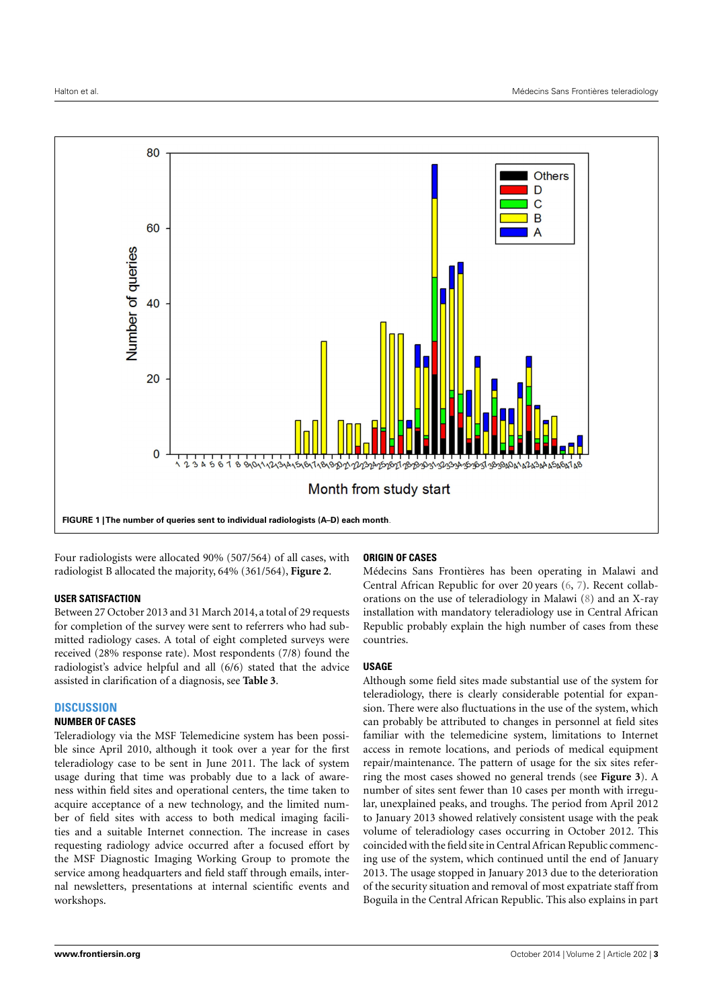

<span id="page-2-0"></span>Four radiologists were allocated 90% (507/564) of all cases, with radiologist B allocated the majority, 64% (361/564), **[Figure 2](#page-3-1)**.

## **USER SATISFACTION**

Between 27 October 2013 and 31 March 2014, a total of 29 requests for completion of the survey were sent to referrers who had submitted radiology cases. A total of eight completed surveys were received (28% response rate). Most respondents (7/8) found the radiologist's advice helpful and all (6/6) stated that the advice assisted in clarification of a diagnosis, see **[Table 3](#page-4-0)**.

## **DISCUSSION**

## **NUMBER OF CASES**

Teleradiology via the MSF Telemedicine system has been possible since April 2010, although it took over a year for the first teleradiology case to be sent in June 2011. The lack of system usage during that time was probably due to a lack of awareness within field sites and operational centers, the time taken to acquire acceptance of a new technology, and the limited number of field sites with access to both medical imaging facilities and a suitable Internet connection. The increase in cases requesting radiology advice occurred after a focused effort by the MSF Diagnostic Imaging Working Group to promote the service among headquarters and field staff through emails, internal newsletters, presentations at internal scientific events and workshops.

## **ORIGIN OF CASES**

Médecins Sans Frontières has been operating in Malawi and Central African Republic for over 20 years [\(6,](#page--1-5) [7\)](#page--1-6). Recent collaborations on the use of teleradiology in Malawi [\(8\)](#page--1-7) and an X-ray installation with mandatory teleradiology use in Central African Republic probably explain the high number of cases from these countries.

## **USAGE**

Although some field sites made substantial use of the system for teleradiology, there is clearly considerable potential for expansion. There were also fluctuations in the use of the system, which can probably be attributed to changes in personnel at field sites familiar with the telemedicine system, limitations to Internet access in remote locations, and periods of medical equipment repair/maintenance. The pattern of usage for the six sites referring the most cases showed no general trends (see **[Figure 3](#page-4-1)**). A number of sites sent fewer than 10 cases per month with irregular, unexplained peaks, and troughs. The period from April 2012 to January 2013 showed relatively consistent usage with the peak volume of teleradiology cases occurring in October 2012. This coincided with the field site in Central African Republic commencing use of the system, which continued until the end of January 2013. The usage stopped in January 2013 due to the deterioration of the security situation and removal of most expatriate staff from Boguila in the Central African Republic. This also explains in part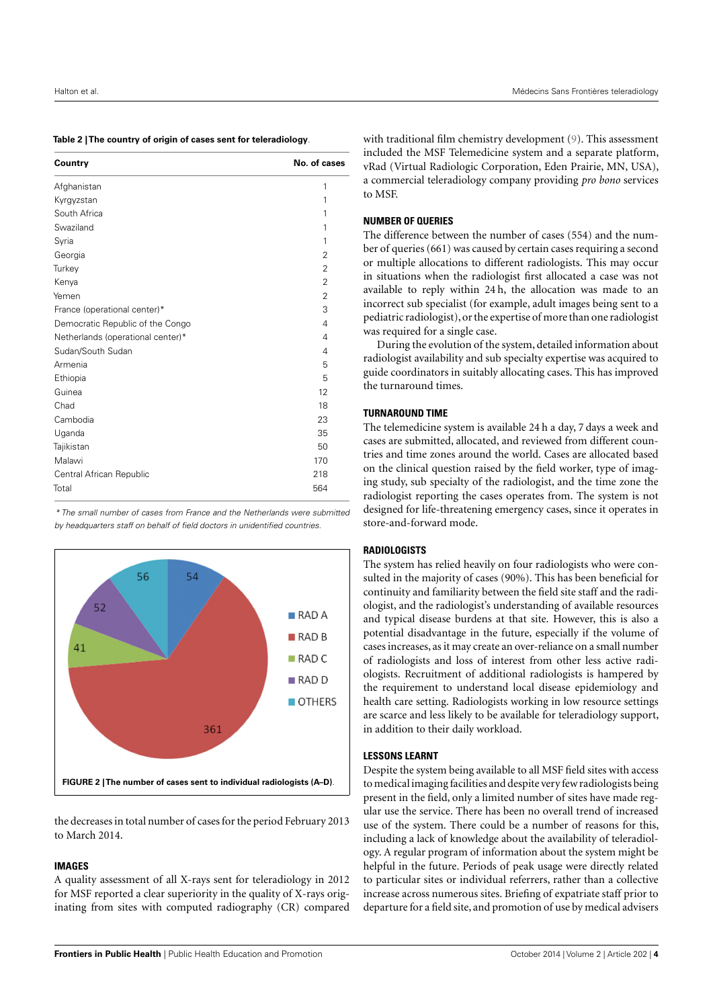<span id="page-3-0"></span>

| Table 2  The country of origin of cases sent for teleradiology. |
|-----------------------------------------------------------------|
|-----------------------------------------------------------------|

| Country                           | No. of cases   |
|-----------------------------------|----------------|
| Afghanistan                       | 1              |
| Kyrgyzstan                        | 1              |
| South Africa                      | 1              |
| Swaziland                         | 1              |
| Syria                             | 1              |
| Georgia                           | $\overline{2}$ |
| Turkey                            | $\overline{2}$ |
| Kenya                             | $\overline{2}$ |
| Yemen                             | $\overline{2}$ |
| France (operational center)*      | 3              |
| Democratic Republic of the Congo  | 4              |
| Netherlands (operational center)* | 4              |
| Sudan/South Sudan                 | 4              |
| Armenia                           | 5              |
| Ethiopia                          | 5              |
| Guinea                            | 12             |
| Chad                              | 18             |
| Cambodia                          | 23             |
| Uganda                            | 35             |
| Tajikistan                        | 50             |
| Malawi                            | 170            |
| Central African Republic          | 218            |
| Total                             | 564            |

\* The small number of cases from France and the Netherlands were submitted by headquarters staff on behalf of field doctors in unidentified countries.



<span id="page-3-1"></span>the decreases in total number of cases for the period February 2013 to March 2014.

## **IMAGES**

A quality assessment of all X-rays sent for teleradiology in 2012 for MSF reported a clear superiority in the quality of X-rays originating from sites with computed radiography (CR) compared

with traditional film chemistry development [\(9\)](#page--1-8). This assessment included the MSF Telemedicine system and a separate platform, vRad (Virtual Radiologic Corporation, Eden Prairie, MN, USA), a commercial teleradiology company providing *pro bono* services to MSF.

## **NUMBER OF QUERIES**

The difference between the number of cases (554) and the number of queries (661) was caused by certain cases requiring a second or multiple allocations to different radiologists. This may occur in situations when the radiologist first allocated a case was not available to reply within 24 h, the allocation was made to an incorrect sub specialist (for example, adult images being sent to a pediatric radiologist), or the expertise of more than one radiologist was required for a single case.

During the evolution of the system, detailed information about radiologist availability and sub specialty expertise was acquired to guide coordinators in suitably allocating cases. This has improved the turnaround times.

## **TURNAROUND TIME**

The telemedicine system is available 24 h a day, 7 days a week and cases are submitted, allocated, and reviewed from different countries and time zones around the world. Cases are allocated based on the clinical question raised by the field worker, type of imaging study, sub specialty of the radiologist, and the time zone the radiologist reporting the cases operates from. The system is not designed for life-threatening emergency cases, since it operates in store-and-forward mode.

## **RADIOLOGISTS**

The system has relied heavily on four radiologists who were consulted in the majority of cases (90%). This has been beneficial for continuity and familiarity between the field site staff and the radiologist, and the radiologist's understanding of available resources and typical disease burdens at that site. However, this is also a potential disadvantage in the future, especially if the volume of cases increases, as it may create an over-reliance on a small number of radiologists and loss of interest from other less active radiologists. Recruitment of additional radiologists is hampered by the requirement to understand local disease epidemiology and health care setting. Radiologists working in low resource settings are scarce and less likely to be available for teleradiology support, in addition to their daily workload.

## **LESSONS LEARNT**

Despite the system being available to all MSF field sites with access to medical imaging facilities and despite very few radiologists being present in the field, only a limited number of sites have made regular use the service. There has been no overall trend of increased use of the system. There could be a number of reasons for this, including a lack of knowledge about the availability of teleradiology. A regular program of information about the system might be helpful in the future. Periods of peak usage were directly related to particular sites or individual referrers, rather than a collective increase across numerous sites. Briefing of expatriate staff prior to departure for a field site, and promotion of use by medical advisers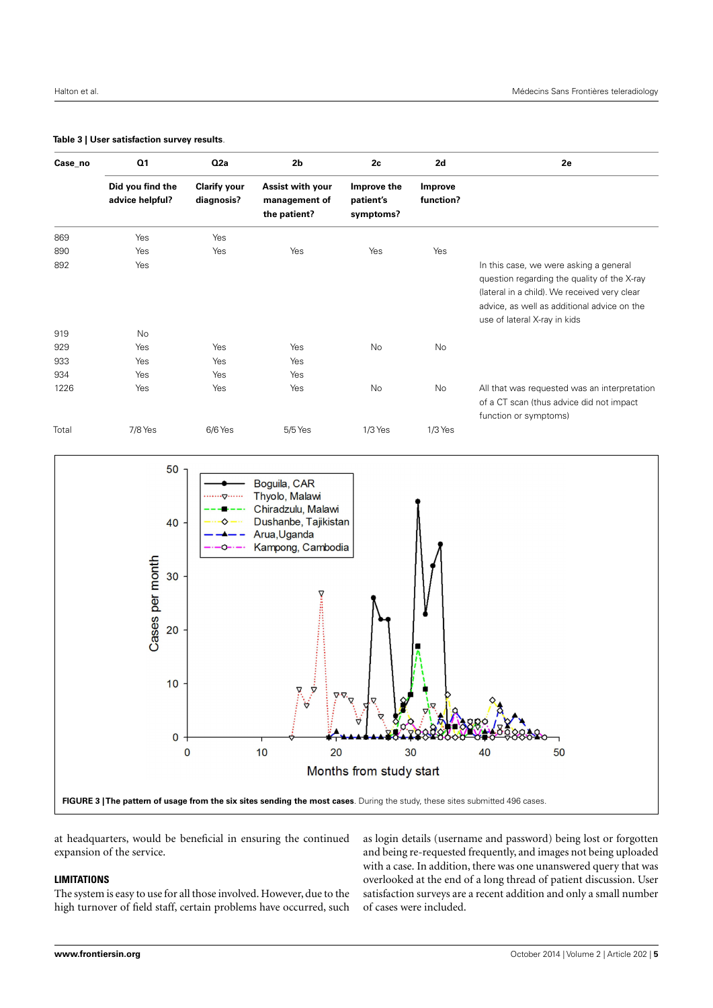| Case_no | Q1<br>Did you find the<br>advice helpful? | Q <sub>2a</sub><br><b>Clarify your</b><br>diagnosis? | 2 <sub>b</sub><br>Assist with your<br>management of<br>the patient? | 2c<br>Improve the<br>patient's<br>symptoms? | 2d<br>Improve<br>function? | <b>2e</b>                                                                                                                                                                                                            |
|---------|-------------------------------------------|------------------------------------------------------|---------------------------------------------------------------------|---------------------------------------------|----------------------------|----------------------------------------------------------------------------------------------------------------------------------------------------------------------------------------------------------------------|
|         |                                           |                                                      |                                                                     |                                             |                            |                                                                                                                                                                                                                      |
| 869     | Yes                                       | Yes                                                  |                                                                     |                                             |                            |                                                                                                                                                                                                                      |
| 890     | Yes                                       | Yes                                                  | Yes                                                                 | Yes                                         | Yes                        |                                                                                                                                                                                                                      |
| 892     | Yes                                       |                                                      |                                                                     |                                             |                            | In this case, we were asking a general<br>question regarding the quality of the X-ray<br>(lateral in a child). We received very clear<br>advice, as well as additional advice on the<br>use of lateral X-ray in kids |
| 919     | No                                        |                                                      |                                                                     |                                             |                            |                                                                                                                                                                                                                      |
| 929     | Yes                                       | Yes                                                  | Yes                                                                 | No                                          | No                         |                                                                                                                                                                                                                      |
| 933     | Yes                                       | Yes                                                  | Yes                                                                 |                                             |                            |                                                                                                                                                                                                                      |
| 934     | Yes                                       | Yes                                                  | Yes                                                                 |                                             |                            |                                                                                                                                                                                                                      |
| 1226    | Yes                                       | Yes                                                  | Yes                                                                 | No                                          | No                         | All that was requested was an interpretation<br>of a CT scan (thus advice did not impact<br>function or symptoms)                                                                                                    |
| Total   | 7/8 Yes                                   | 6/6 Yes                                              | 5/5 Yes                                                             | $1/3$ Yes                                   | $1/3$ Yes                  |                                                                                                                                                                                                                      |

## <span id="page-4-0"></span>**Table 3 | User satisfaction survey results**.



<span id="page-4-1"></span>at headquarters, would be beneficial in ensuring the continued expansion of the service.

# **LIMITATIONS**

The system is easy to use for all those involved. However, due to the high turnover of field staff, certain problems have occurred, such

as login details (username and password) being lost or forgotten and being re-requested frequently, and images not being uploaded with a case. In addition, there was one unanswered query that was overlooked at the end of a long thread of patient discussion. User satisfaction surveys are a recent addition and only a small number of cases were included.